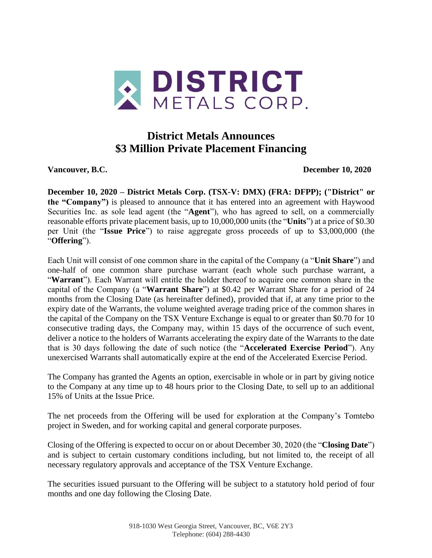

## **District Metals Announces \$3 Million Private Placement Financing**

**Vancouver, B.C. December 10, 2020**

**December 10, 2020 – District Metals Corp. (TSX-V: DMX) (FRA: DFPP); ("District" or the "Company")** is pleased to announce that it has entered into an agreement with Haywood Securities Inc. as sole lead agent (the "**Agent**"), who has agreed to sell, on a commercially reasonable efforts private placement basis, up to 10,000,000 units (the "**Units**") at a price of \$0.30 per Unit (the "**Issue Price**") to raise aggregate gross proceeds of up to \$3,000,000 (the "**Offering**").

Each Unit will consist of one common share in the capital of the Company (a "**Unit Share**") and one-half of one common share purchase warrant (each whole such purchase warrant, a "**Warrant**"). Each Warrant will entitle the holder thereof to acquire one common share in the capital of the Company (a "**Warrant Share**") at \$0.42 per Warrant Share for a period of 24 months from the Closing Date (as hereinafter defined), provided that if, at any time prior to the expiry date of the Warrants, the volume weighted average trading price of the common shares in the capital of the Company on the TSX Venture Exchange is equal to or greater than \$0.70 for 10 consecutive trading days, the Company may, within 15 days of the occurrence of such event, deliver a notice to the holders of Warrants accelerating the expiry date of the Warrants to the date that is 30 days following the date of such notice (the "**Accelerated Exercise Period**"). Any unexercised Warrants shall automatically expire at the end of the Accelerated Exercise Period.

The Company has granted the Agents an option, exercisable in whole or in part by giving notice to the Company at any time up to 48 hours prior to the Closing Date, to sell up to an additional 15% of Units at the Issue Price.

The net proceeds from the Offering will be used for exploration at the Company's Tomtebo project in Sweden, and for working capital and general corporate purposes.

Closing of the Offering is expected to occur on or about December 30, 2020 (the "**Closing Date**") and is subject to certain customary conditions including, but not limited to, the receipt of all necessary regulatory approvals and acceptance of the TSX Venture Exchange.

The securities issued pursuant to the Offering will be subject to a statutory hold period of four months and one day following the Closing Date.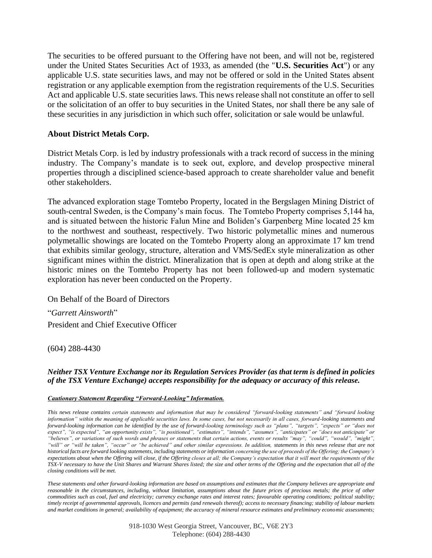The securities to be offered pursuant to the Offering have not been, and will not be, registered under the United States Securities Act of 1933, as amended (the "**U.S. Securities Act**") or any applicable U.S. state securities laws, and may not be offered or sold in the United States absent registration or any applicable exemption from the registration requirements of the U.S. Securities Act and applicable U.S. state securities laws. This news release shall not constitute an offer to sell or the solicitation of an offer to buy securities in the United States, nor shall there be any sale of these securities in any jurisdiction in which such offer, solicitation or sale would be unlawful.

## **About District Metals Corp.**

District Metals Corp. is led by industry professionals with a track record of success in the mining industry. The Company's mandate is to seek out, explore, and develop prospective mineral properties through a disciplined science-based approach to create shareholder value and benefit other stakeholders.

The advanced exploration stage Tomtebo Property, located in the Bergslagen Mining District of south-central Sweden, is the Company's main focus. The Tomtebo Property comprises 5,144 ha, and is situated between the historic Falun Mine and Boliden's Garpenberg Mine located 25 km to the northwest and southeast, respectively. Two historic polymetallic mines and numerous polymetallic showings are located on the Tomtebo Property along an approximate 17 km trend that exhibits similar geology, structure, alteration and VMS/SedEx style mineralization as other significant mines within the district. Mineralization that is open at depth and along strike at the historic mines on the Tomtebo Property has not been followed-up and modern systematic exploration has never been conducted on the Property.

On Behalf of the Board of Directors

"*Garrett Ainsworth*" President and Chief Executive Officer

(604) 288-4430

## *Neither TSX Venture Exchange nor its Regulation Services Provider (as that term is defined in policies of the TSX Venture Exchange) accepts responsibility for the adequacy or accuracy of this release.*

## *Cautionary Statement Regarding "Forward-Looking" Information.*

*This news release contains certain statements and information that may be considered "forward-looking statements" and "forward looking information" within the meaning of applicable securities laws. In some cases, but not necessarily in all cases, forward-looking statements and forward-looking information can be identified by the use of forward-looking terminology such as "plans", "targets", "expects" or "does not expect", "is expected", "an opportunity exists", "is positioned", "estimates", "intends", "assumes", "anticipates" or "does not anticipate" or "believes", or variations of such words and phrases or statements that certain actions, events or results "may", "could", "would", "might", "will" or "will be taken", "occur" or "be achieved" and other similar expressions. In addition, statements in this news release that are not historical facts are forward looking statements, including statements or information concerning the use of proceeds of the Offering; the Company's*  expectations about when the Offering will close, if the Offering closes at all; the Company's expectation that it will meet the requirements of the *TSX-V necessary to have the Unit Shares and Warrant Shares listed; the size and other terms of the Offering and the expectation that all of the closing conditions will be met.*

*These statements and other forward-looking information are based on assumptions and estimates that the Company believes are appropriate and*  reasonable in the circumstances, including, without limitation, assumptions about the *future prices of precious metals; the price of other commodities such as coal, fuel and electricity; currency exchange rates and interest rates; favourable operating conditions; political stability; timely receipt of governmental approvals, licences and permits (and renewals thereof); access to necessary financing; stability of labour markets and market conditions in general; availability of equipment; the accuracy of mineral resource estimates and preliminary economic assessments;* 

> 918-1030 West Georgia Street, Vancouver, BC, V6E 2Y3 Telephone: (604) 288-4430